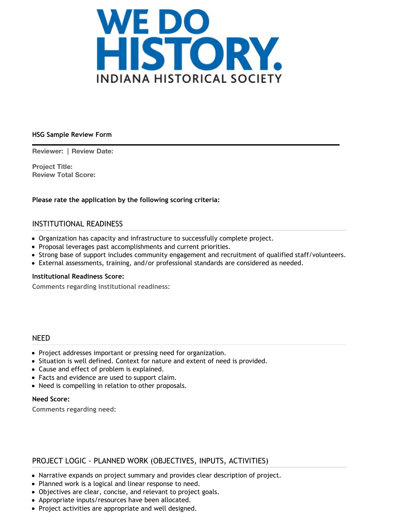

#### **HSG Sample Review Form**

**Reviewer:** | **Review Date:**

**Project Title: Review Total Score:**

**Please rate the application by the following scoring criteria:**

#### INSTITUTIONAL READINESS

- Organization has capacity and infrastructure to successfully complete project.
- Proposal leverages past accomplishments and current priorities.
- Strong base of support includes community engagement and recruitment of qualified staff/volunteers.
- External assessments, training, and/or professional standards are considered as needed.

#### **Institutional Readiness Score:**

**Comments regarding institutional readiness:**

#### NEED

- Project addresses important or pressing need for organization.
- Situation is well defined. Context for nature and extent of need is provided.
- Cause and effect of problem is explained.
- Facts and evidence are used to support claim.
- Need is compelling in relation to other proposals.

#### **Need Score:**

**Comments regarding need:**

#### PROJECT LOGIC - PLANNED WORK (OBJECTIVES, INPUTS, ACTIVITIES)

- Narrative expands on project summary and provides clear description of project.
- Planned work is a logical and linear response to need.
- Objectives are clear, concise, and relevant to project goals.
- Appropriate inputs/resources have been allocated.
- Project activities are appropriate and well designed.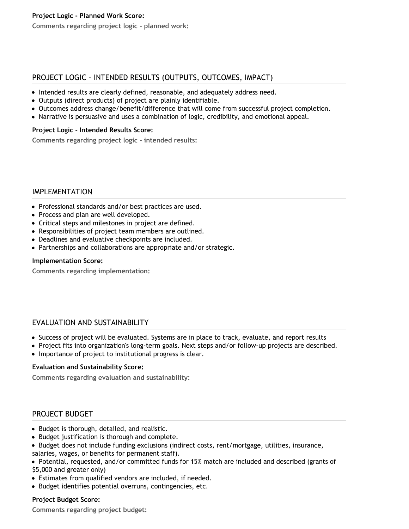**Comments regarding project logic - planned work:**

# PROJECT LOGIC - INTENDED RESULTS (OUTPUTS, OUTCOMES, IMPACT)

- Intended results are clearly defined, reasonable, and adequately address need.
- Outputs (direct products) of project are plainly identifiable.
- Outcomes address change/benefit/difference that will come from successful project completion.
- Narrative is persuasive and uses a combination of logic, credibility, and emotional appeal.

## **Project Logic - Intended Results Score:**

**Comments regarding project logic - intended results:**

### IMPLEMENTATION

- Professional standards and/or best practices are used.
- Process and plan are well developed.
- Critical steps and milestones in project are defined.
- Responsibilities of project team members are outlined.
- Deadlines and evaluative checkpoints are included.
- Partnerships and collaborations are appropriate and/or strategic.

#### **Implementation Score:**

**Comments regarding implementation:**

## EVALUATION AND SUSTAINABILITY

- Success of project will be evaluated. Systems are in place to track, evaluate, and report results
- Project fits into organization's long-term goals. Next steps and/or follow-up projects are described.
- Importance of project to institutional progress is clear.

#### **Evaluation and Sustainability Score:**

**Comments regarding evaluation and sustainability:**

## PROJECT BUDGET

- Budget is thorough, detailed, and realistic.
- Budget justification is thorough and complete.
- Budget does not include funding exclusions (indirect costs, rent/mortgage, utilities, insurance,
- salaries, wages, or benefits for permanent staff).
- Potential, requested, and/or committed funds for 15% match are included and described (grants of \$5,000 and greater only)
- Estimates from qualified vendors are included, if needed.
- Budget identifies potential overruns, contingencies, etc.

### **Project Budget Score:**

**Comments regarding project budget:**